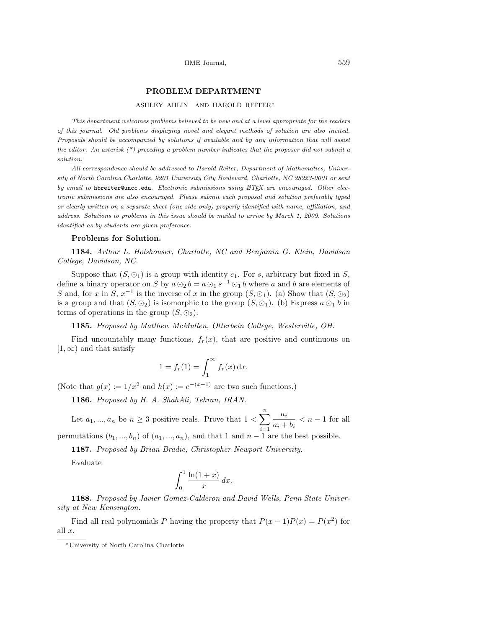## PROBLEM DEPARTMENT

### ASHLEY AHLIN AND HAROLD REITER<sup>∗</sup>

This department welcomes problems believed to be new and at a level appropriate for the readers of this journal. Old problems displaying novel and elegant methods of solution are also invited. Proposals should be accompanied by solutions if available and by any information that will assist the editor. An asterisk  $(*)$  preceding a problem number indicates that the proposer did not submit a solution.

All correspondence should be addressed to Harold Reiter, Department of Mathematics, University of North Carolina Charlotte, 9201 University City Boulevard, Charlotte, NC 28223-0001 or sent by email to hbreiter@uncc.edu. Electronic submissions using  $\mathbb{A}T$ EX are encouraged. Other electronic submissions are also encouraged. Please submit each proposal and solution preferably typed or clearly written on a separate sheet (one side only) properly identified with name, affiliation, and address. Solutions to problems in this issue should be mailed to arrive by March 1, 2009. Solutions identified as by students are given preference.

#### Problems for Solution.

1184. Arthur L. Holshouser, Charlotte, NC and Benjamin G. Klein, Davidson College, Davidson, NC.

Suppose that  $(S, \mathcal{O}_1)$  is a group with identity  $e_1$ . For s, arbitrary but fixed in S, define a binary operator on S by  $a \odot_2 b = a \odot_1 s^{-1} \odot_1 b$  where a and b are elements of S and, for x in S,  $x^{-1}$  is the inverse of x in the group  $(S, \odot_1)$ . (a) Show that  $(S, \odot_2)$ is a group and that  $(S, \odot_2)$  is isomorphic to the group  $(S, \odot_1)$ . (b) Express  $a \odot_1 b$  in terms of operations in the group  $(S, \odot_2)$ .

1185. Proposed by Matthew McMullen, Otterbein College, Westerville, OH.

Find uncountably many functions,  $f_r(x)$ , that are positive and continuous on  $[1, \infty)$  and that satisfy

$$
1 = f_r(1) = \int_1^\infty f_r(x) \, \mathrm{d}x.
$$

(Note that  $g(x) := 1/x^2$  and  $h(x) := e^{-(x-1)}$  are two such functions.)

1186. Proposed by H. A. ShahAli, Tehran, IRAN.

Let  $a_1, ..., a_n$  be  $n \geq 3$  positive reals. Prove that  $1 <$  $\frac{n}{\sqrt{2}}$  $i=1$ ai  $\frac{a_i}{a_i + b_i} < n - 1$  for all permutations  $(b_1, ..., b_n)$  of  $(a_1, ..., a_n)$ , and that 1 and  $n-1$  are the best possible.

1187. Proposed by Brian Bradie, Christopher Newport University. Evaluate

$$
\int_0^1 \frac{\ln(1+x)}{x} \, dx.
$$

1188. Proposed by Javier Gomez-Calderon and David Wells, Penn State University at New Kensington.

Find all real polynomials P having the property that  $P(x-1)P(x) = P(x^2)$  for all  $x$ .

<sup>∗</sup>University of North Carolina Charlotte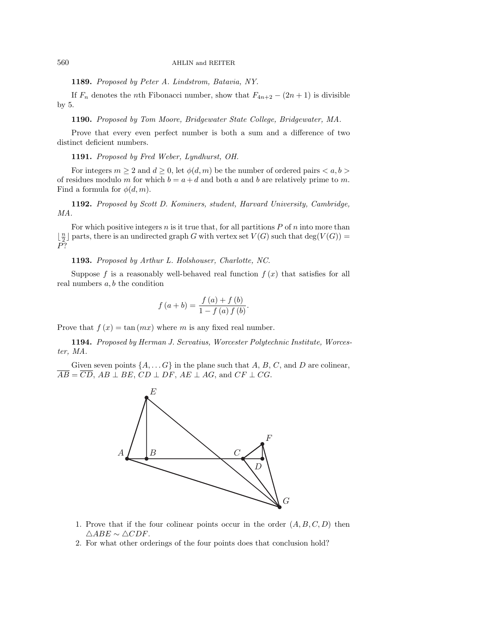## 560 AHLIN and REITER

1189. Proposed by Peter A. Lindstrom, Batavia, NY.

If  $F_n$  denotes the *n*th Fibonacci number, show that  $F_{4n+2} - (2n+1)$  is divisible by 5.

1190. Proposed by Tom Moore, Bridgewater State College, Bridgewater, MA.

Prove that every even perfect number is both a sum and a difference of two distinct deficient numbers.

1191. Proposed by Fred Weber, Lyndhurst, OH.

For integers  $m \geq 2$  and  $d \geq 0$ , let  $\phi(d,m)$  be the number of ordered pairs  $\langle a, b \rangle$ of residues modulo m for which  $b = a + d$  and both a and b are relatively prime to m. Find a formula for  $\phi(d, m)$ .

1192. Proposed by Scott D. Kominers, student, Harvard University, Cambridge, MA.

For which positive integers  $n$  is it true that, for all partitions  $P$  of  $n$  into more than  $\lfloor \frac{n}{2} \rfloor$  parts, there is an undirected graph G with vertex set  $V(G)$  such that  $\deg(V(G))=$ P?

1193. Proposed by Arthur L. Holshouser, Charlotte, NC.

Suppose f is a reasonably well-behaved real function  $f(x)$  that satisfies for all real numbers  $a, b$  the condition

$$
f (a + b) = \frac{f (a) + f (b)}{1 - f (a) f (b)}.
$$

Prove that  $f(x) = \tan(mx)$  where m is any fixed real number.

1194. Proposed by Herman J. Servatius, Worcester Polytechnic Institute, Worcester, MA.

Given seven points  $\{A, \ldots, G\}$  in the plane such that A, B, C, and D are colinear,  $\overline{AB} = \overline{CD}$ ,  $AB \perp BE$ ,  $CD \perp DF$ ,  $AE \perp AG$ , and  $CF \perp CG$ .



- 1. Prove that if the four colinear points occur in the order  $(A, B, C, D)$  then  $\triangle ABE \sim \triangle CDF.$
- 2. For what other orderings of the four points does that conclusion hold?